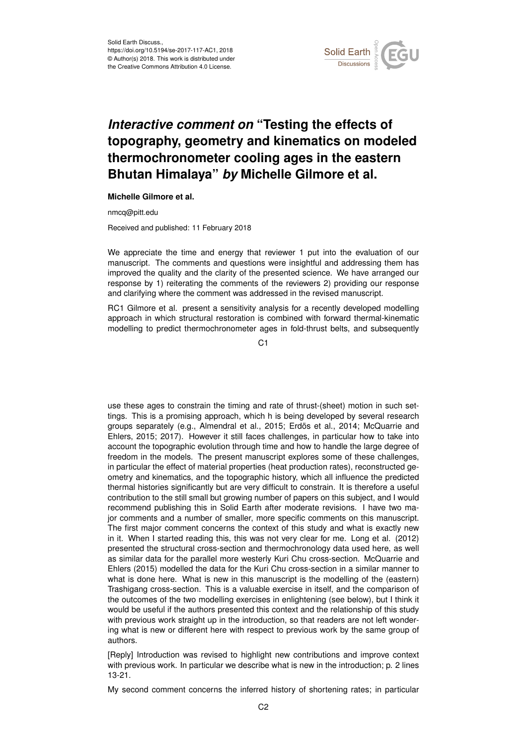

# *Interactive comment on* **"Testing the effects of topography, geometry and kinematics on modeled thermochronometer cooling ages in the eastern Bhutan Himalaya"** *by* **Michelle Gilmore et al.**

### **Michelle Gilmore et al.**

nmcq@pitt.edu

Received and published: 11 February 2018

We appreciate the time and energy that reviewer 1 put into the evaluation of our manuscript. The comments and questions were insightful and addressing them has improved the quality and the clarity of the presented science. We have arranged our response by 1) reiterating the comments of the reviewers 2) providing our response and clarifying where the comment was addressed in the revised manuscript.

RC1 Gilmore et al. present a sensitivity analysis for a recently developed modelling approach in which structural restoration is combined with forward thermal-kinematic modelling to predict thermochronometer ages in fold-thrust belts, and subsequently

C<sub>1</sub>

use these ages to constrain the timing and rate of thrust-(sheet) motion in such settings. This is a promising approach, which h is being developed by several research groups separately (e.g., Almendral et al., 2015; Erdös et al., 2014; McQuarrie and Ehlers, 2015; 2017). However it still faces challenges, in particular how to take into account the topographic evolution through time and how to handle the large degree of freedom in the models. The present manuscript explores some of these challenges, in particular the effect of material properties (heat production rates), reconstructed geometry and kinematics, and the topographic history, which all influence the predicted thermal histories significantly but are very difficult to constrain. It is therefore a useful contribution to the still small but growing number of papers on this subject, and I would recommend publishing this in Solid Earth after moderate revisions. I have two major comments and a number of smaller, more specific comments on this manuscript. The first major comment concerns the context of this study and what is exactly new in it. When I started reading this, this was not very clear for me. Long et al. (2012) presented the structural cross-section and thermochronology data used here, as well as similar data for the parallel more westerly Kuri Chu cross-section. McQuarrie and Ehlers (2015) modelled the data for the Kuri Chu cross-section in a similar manner to what is done here. What is new in this manuscript is the modelling of the (eastern) Trashigang cross-section. This is a valuable exercise in itself, and the comparison of the outcomes of the two modelling exercises in enlightening (see below), but I think it would be useful if the authors presented this context and the relationship of this study with previous work straight up in the introduction, so that readers are not left wondering what is new or different here with respect to previous work by the same group of authors.

[Reply] Introduction was revised to highlight new contributions and improve context with previous work. In particular we describe what is new in the introduction; p. 2 lines 13-21.

My second comment concerns the inferred history of shortening rates; in particular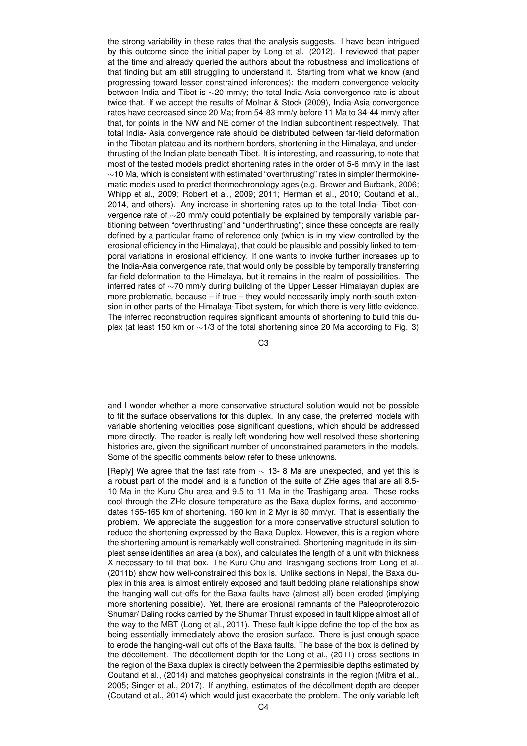the strong variability in these rates that the analysis suggests. I have been intrigued by this outcome since the initial paper by Long et al. (2012). I reviewed that paper at the time and already queried the authors about the robustness and implications of that finding but am still struggling to understand it. Starting from what we know (and progressing toward lesser constrained inferences): the modern convergence velocity between India and Tibet is ∼20 mm/y; the total India-Asia convergence rate is about twice that. If we accept the results of Molnar & Stock (2009), India-Asia convergence rates have decreased since 20 Ma; from 54-83 mm/y before 11 Ma to 34-44 mm/y after that, for points in the NW and NE corner of the Indian subcontinent respectively. That total India- Asia convergence rate should be distributed between far-field deformation in the Tibetan plateau and its northern borders, shortening in the Himalaya, and underthrusting of the Indian plate beneath Tibet. It is interesting, and reassuring, to note that most of the tested models predict shortening rates in the order of 5-6 mm/y in the last ∼10 Ma, which is consistent with estimated "overthrusting" rates in simpler thermokinematic models used to predict thermochronology ages (e.g. Brewer and Burbank, 2006; Whipp et al., 2009; Robert et al., 2009; 2011; Herman et al., 2010; Coutand et al., 2014, and others). Any increase in shortening rates up to the total India- Tibet convergence rate of ∼20 mm/y could potentially be explained by temporally variable partitioning between "overthrusting" and "underthrusting"; since these concepts are really defined by a particular frame of reference only (which is in my view controlled by the erosional efficiency in the Himalaya), that could be plausible and possibly linked to temporal variations in erosional efficiency. If one wants to invoke further increases up to the India-Asia convergence rate, that would only be possible by temporally transferring far-field deformation to the Himalaya, but it remains in the realm of possibilities. The inferred rates of ∼70 mm/y during building of the Upper Lesser Himalayan duplex are more problematic, because – if true – they would necessarily imply north-south extension in other parts of the Himalaya-Tibet system, for which there is very little evidence. The inferred reconstruction requires significant amounts of shortening to build this duplex (at least 150 km or ∼1/3 of the total shortening since 20 Ma according to Fig. 3)

C3

and I wonder whether a more conservative structural solution would not be possible to fit the surface observations for this duplex. In any case, the preferred models with variable shortening velocities pose significant questions, which should be addressed more directly. The reader is really left wondering how well resolved these shortening histories are, given the significant number of unconstrained parameters in the models. Some of the specific comments below refer to these unknowns.

[Reply] We agree that the fast rate from  $\sim$  13- 8 Ma are unexpected, and yet this is a robust part of the model and is a function of the suite of ZHe ages that are all 8.5- 10 Ma in the Kuru Chu area and 9.5 to 11 Ma in the Trashigang area. These rocks cool through the ZHe closure temperature as the Baxa duplex forms, and accommodates 155-165 km of shortening. 160 km in 2 Myr is 80 mm/yr. That is essentially the problem. We appreciate the suggestion for a more conservative structural solution to reduce the shortening expressed by the Baxa Duplex. However, this is a region where the shortening amount is remarkably well constrained. Shortening magnitude in its simplest sense identifies an area (a box), and calculates the length of a unit with thickness X necessary to fill that box. The Kuru Chu and Trashigang sections from Long et al. (2011b) show how well-constrained this box is. Unlike sections in Nepal, the Baxa duplex in this area is almost entirely exposed and fault bedding plane relationships show the hanging wall cut-offs for the Baxa faults have (almost all) been eroded (implying more shortening possible). Yet, there are erosional remnants of the Paleoproterozoic Shumar/ Daling rocks carried by the Shumar Thrust exposed in fault klippe almost all of the way to the MBT (Long et al., 2011). These fault klippe define the top of the box as being essentially immediately above the erosion surface. There is just enough space to erode the hanging-wall cut offs of the Baxa faults. The base of the box is defined by the décollement. The décollement depth for the Long et al., (2011) cross sections in the region of the Baxa duplex is directly between the 2 permissible depths estimated by Coutand et al., (2014) and matches geophysical constraints in the region (Mitra et al., 2005; Singer et al., 2017). If anything, estimates of the décollment depth are deeper (Coutand et al., 2014) which would just exacerbate the problem. The only variable left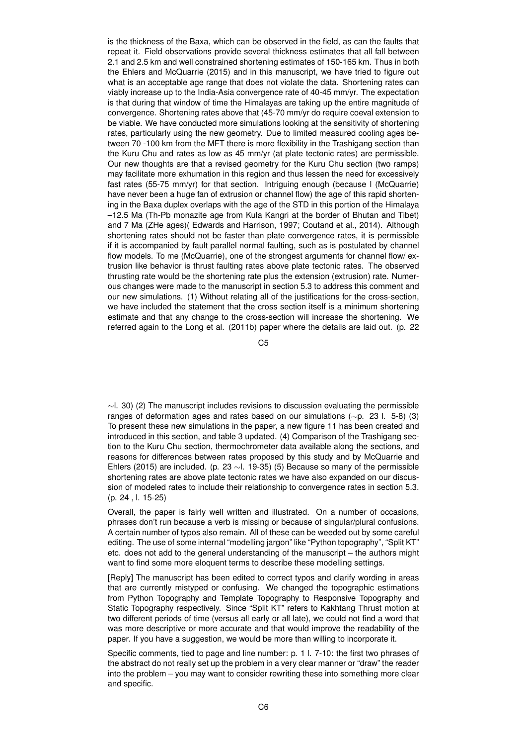is the thickness of the Baxa, which can be observed in the field, as can the faults that repeat it. Field observations provide several thickness estimates that all fall between 2.1 and 2.5 km and well constrained shortening estimates of 150-165 km. Thus in both the Ehlers and McQuarrie (2015) and in this manuscript, we have tried to figure out what is an acceptable age range that does not violate the data. Shortening rates can viably increase up to the India-Asia convergence rate of 40-45 mm/yr. The expectation is that during that window of time the Himalayas are taking up the entire magnitude of convergence. Shortening rates above that (45-70 mm/yr do require coeval extension to be viable. We have conducted more simulations looking at the sensitivity of shortening rates, particularly using the new geometry. Due to limited measured cooling ages between 70 -100 km from the MFT there is more flexibility in the Trashigang section than the Kuru Chu and rates as low as 45 mm/yr (at plate tectonic rates) are permissible. Our new thoughts are that a revised geometry for the Kuru Chu section (two ramps) may facilitate more exhumation in this region and thus lessen the need for excessively fast rates (55-75 mm/yr) for that section. Intriguing enough (because I (McQuarrie) have never been a huge fan of extrusion or channel flow) the age of this rapid shortening in the Baxa duplex overlaps with the age of the STD in this portion of the Himalaya –12.5 Ma (Th-Pb monazite age from Kula Kangri at the border of Bhutan and Tibet) and 7 Ma (ZHe ages)( Edwards and Harrison, 1997; Coutand et al., 2014). Although shortening rates should not be faster than plate convergence rates, it is permissible if it is accompanied by fault parallel normal faulting, such as is postulated by channel flow models. To me (McQuarrie), one of the strongest arguments for channel flow/ extrusion like behavior is thrust faulting rates above plate tectonic rates. The observed thrusting rate would be the shortening rate plus the extension (extrusion) rate. Numerous changes were made to the manuscript in section 5.3 to address this comment and our new simulations. (1) Without relating all of the justifications for the cross-section, we have included the statement that the cross section itself is a minimum shortening estimate and that any change to the cross-section will increase the shortening. We referred again to the Long et al. (2011b) paper where the details are laid out. (p. 22

C5

 $\sim$ l. 30) (2) The manuscript includes revisions to discussion evaluating the permissible ranges of deformation ages and rates based on our simulations (∼p. 23 l. 5-8) (3) To present these new simulations in the paper, a new figure 11 has been created and introduced in this section, and table 3 updated. (4) Comparison of the Trashigang section to the Kuru Chu section, thermochrometer data available along the sections, and reasons for differences between rates proposed by this study and by McQuarrie and Ehlers (2015) are included. (p. 23 ∼l. 19-35) (5) Because so many of the permissible shortening rates are above plate tectonic rates we have also expanded on our discussion of modeled rates to include their relationship to convergence rates in section 5.3. (p. 24 , l. 15-25)

Overall, the paper is fairly well written and illustrated. On a number of occasions, phrases don't run because a verb is missing or because of singular/plural confusions. A certain number of typos also remain. All of these can be weeded out by some careful editing. The use of some internal "modelling jargon" like "Python topography", "Split KT" etc. does not add to the general understanding of the manuscript – the authors might want to find some more eloquent terms to describe these modelling settings.

[Reply] The manuscript has been edited to correct typos and clarify wording in areas that are currently mistyped or confusing. We changed the topographic estimations from Python Topography and Template Topography to Responsive Topography and Static Topography respectively. Since "Split KT" refers to Kakhtang Thrust motion at two different periods of time (versus all early or all late), we could not find a word that was more descriptive or more accurate and that would improve the readability of the paper. If you have a suggestion, we would be more than willing to incorporate it.

Specific comments, tied to page and line number: p. 1 l. 7-10: the first two phrases of the abstract do not really set up the problem in a very clear manner or "draw" the reader into the problem – you may want to consider rewriting these into something more clear and specific.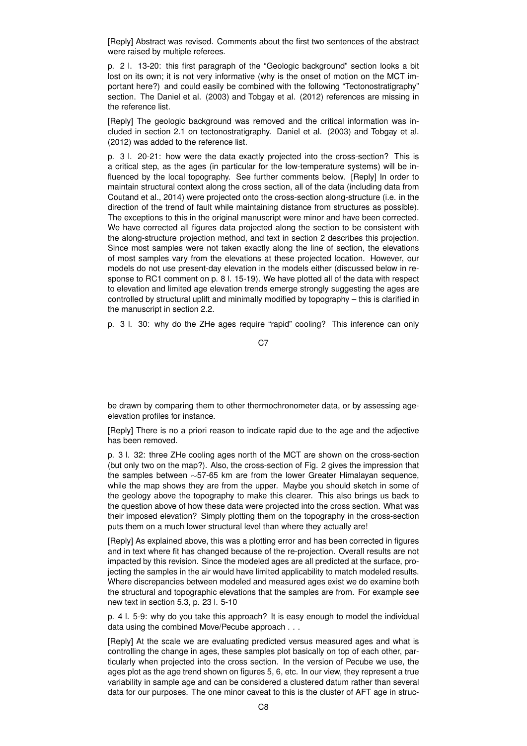[Reply] Abstract was revised. Comments about the first two sentences of the abstract were raised by multiple referees.

p. 2 l. 13-20: this first paragraph of the "Geologic background" section looks a bit lost on its own; it is not very informative (why is the onset of motion on the MCT important here?) and could easily be combined with the following "Tectonostratigraphy" section. The Daniel et al. (2003) and Tobgay et al. (2012) references are missing in the reference list.

[Reply] The geologic background was removed and the critical information was included in section 2.1 on tectonostratigraphy. Daniel et al. (2003) and Tobgay et al. (2012) was added to the reference list.

p. 3 l. 20-21: how were the data exactly projected into the cross-section? This is a critical step, as the ages (in particular for the low-temperature systems) will be influenced by the local topography. See further comments below. [Reply] In order to maintain structural context along the cross section, all of the data (including data from Coutand et al., 2014) were projected onto the cross-section along-structure (i.e. in the direction of the trend of fault while maintaining distance from structures as possible). The exceptions to this in the original manuscript were minor and have been corrected. We have corrected all figures data projected along the section to be consistent with the along-structure projection method, and text in section 2 describes this projection. Since most samples were not taken exactly along the line of section, the elevations of most samples vary from the elevations at these projected location. However, our models do not use present-day elevation in the models either (discussed below in response to RC1 comment on p. 8 l. 15-19). We have plotted all of the data with respect to elevation and limited age elevation trends emerge strongly suggesting the ages are controlled by structural uplift and minimally modified by topography – this is clarified in the manuscript in section 2.2.

p. 3 l. 30: why do the ZHe ages require "rapid" cooling? This inference can only

C<sub>7</sub>

be drawn by comparing them to other thermochronometer data, or by assessing ageelevation profiles for instance.

[Reply] There is no a priori reason to indicate rapid due to the age and the adjective has been removed.

p. 3 l. 32: three ZHe cooling ages north of the MCT are shown on the cross-section (but only two on the map?). Also, the cross-section of Fig. 2 gives the impression that the samples between ∼57-65 km are from the lower Greater Himalayan sequence, while the map shows they are from the upper. Maybe you should sketch in some of the geology above the topography to make this clearer. This also brings us back to the question above of how these data were projected into the cross section. What was their imposed elevation? Simply plotting them on the topography in the cross-section puts them on a much lower structural level than where they actually are!

[Reply] As explained above, this was a plotting error and has been corrected in figures and in text where fit has changed because of the re-projection. Overall results are not impacted by this revision. Since the modeled ages are all predicted at the surface, projecting the samples in the air would have limited applicability to match modeled results. Where discrepancies between modeled and measured ages exist we do examine both the structural and topographic elevations that the samples are from. For example see new text in section 5.3, p. 23 l. 5-10

p. 4 l. 5-9: why do you take this approach? It is easy enough to model the individual data using the combined Move/Pecube approach . . .

[Reply] At the scale we are evaluating predicted versus measured ages and what is controlling the change in ages, these samples plot basically on top of each other, particularly when projected into the cross section. In the version of Pecube we use, the ages plot as the age trend shown on figures 5, 6, etc. In our view, they represent a true variability in sample age and can be considered a clustered datum rather than several data for our purposes. The one minor caveat to this is the cluster of AFT age in struc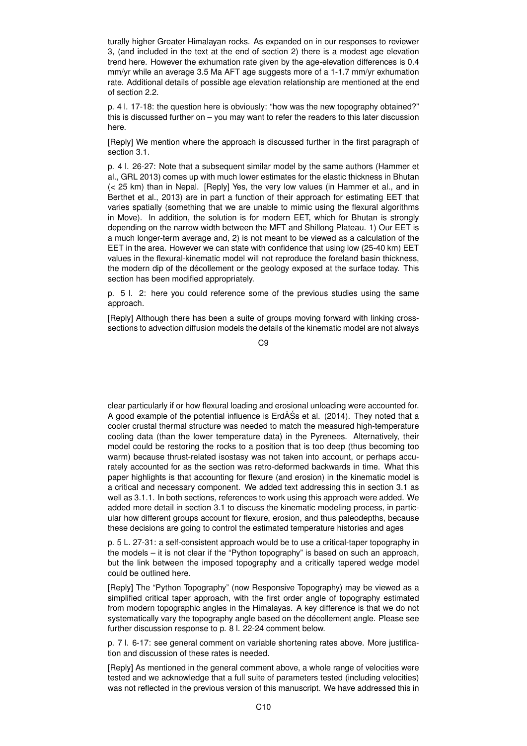turally higher Greater Himalayan rocks. As expanded on in our responses to reviewer 3, (and included in the text at the end of section 2) there is a modest age elevation trend here. However the exhumation rate given by the age-elevation differences is 0.4 mm/yr while an average 3.5 Ma AFT age suggests more of a 1-1.7 mm/yr exhumation rate. Additional details of possible age elevation relationship are mentioned at the end of section 2.2.

p. 4 l. 17-18: the question here is obviously: "how was the new topography obtained?" this is discussed further on – you may want to refer the readers to this later discussion here.

[Reply] We mention where the approach is discussed further in the first paragraph of section 3.1.

p. 4 l. 26-27: Note that a subsequent similar model by the same authors (Hammer et al., GRL 2013) comes up with much lower estimates for the elastic thickness in Bhutan (< 25 km) than in Nepal. [Reply] Yes, the very low values (in Hammer et al., and in Berthet et al., 2013) are in part a function of their approach for estimating EET that varies spatially (something that we are unable to mimic using the flexural algorithms in Move). In addition, the solution is for modern EET, which for Bhutan is strongly depending on the narrow width between the MFT and Shillong Plateau. 1) Our EET is a much longer-term average and, 2) is not meant to be viewed as a calculation of the EET in the area. However we can state with confidence that using low (25-40 km) EET values in the flexural-kinematic model will not reproduce the foreland basin thickness, the modern dip of the décollement or the geology exposed at the surface today. This section has been modified appropriately.

p. 5 l. 2: here you could reference some of the previous studies using the same approach.

[Reply] Although there has been a suite of groups moving forward with linking crosssections to advection diffusion models the details of the kinematic model are not always

C9

clear particularly if or how flexural loading and erosional unloading were accounted for. A good example of the potential influence is ErdÅSs et al. (2014). They noted that a ´ cooler crustal thermal structure was needed to match the measured high-temperature cooling data (than the lower temperature data) in the Pyrenees. Alternatively, their model could be restoring the rocks to a position that is too deep (thus becoming too warm) because thrust-related isostasy was not taken into account, or perhaps accurately accounted for as the section was retro-deformed backwards in time. What this paper highlights is that accounting for flexure (and erosion) in the kinematic model is a critical and necessary component. We added text addressing this in section 3.1 as well as 3.1.1. In both sections, references to work using this approach were added. We added more detail in section 3.1 to discuss the kinematic modeling process, in particular how different groups account for flexure, erosion, and thus paleodepths, because these decisions are going to control the estimated temperature histories and ages

p. 5 L. 27-31: a self-consistent approach would be to use a critical-taper topography in the models – it is not clear if the "Python topography" is based on such an approach, but the link between the imposed topography and a critically tapered wedge model could be outlined here.

[Reply] The "Python Topography" (now Responsive Topography) may be viewed as a simplified critical taper approach, with the first order angle of topography estimated from modern topographic angles in the Himalayas. A key difference is that we do not systematically vary the topography angle based on the décollement angle. Please see further discussion response to p. 8 l. 22-24 comment below.

p. 7 l. 6-17: see general comment on variable shortening rates above. More justification and discussion of these rates is needed.

[Reply] As mentioned in the general comment above, a whole range of velocities were tested and we acknowledge that a full suite of parameters tested (including velocities) was not reflected in the previous version of this manuscript. We have addressed this in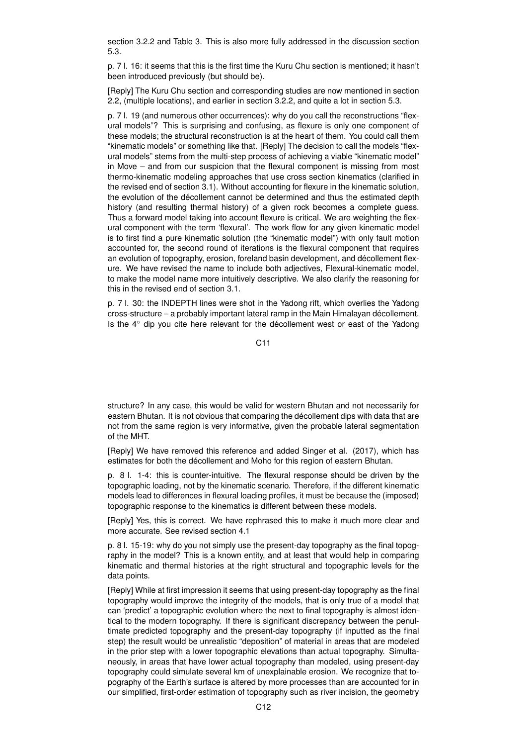section 3.2.2 and Table 3. This is also more fully addressed in the discussion section 5.3.

p. 7 l. 16: it seems that this is the first time the Kuru Chu section is mentioned; it hasn't been introduced previously (but should be).

[Reply] The Kuru Chu section and corresponding studies are now mentioned in section 2.2, (multiple locations), and earlier in section 3.2.2, and quite a lot in section 5.3.

p. 7 l. 19 (and numerous other occurrences): why do you call the reconstructions "flexural models"? This is surprising and confusing, as flexure is only one component of these models; the structural reconstruction is at the heart of them. You could call them "kinematic models" or something like that. [Reply] The decision to call the models "flexural models" stems from the multi-step process of achieving a viable "kinematic model" in Move – and from our suspicion that the flexural component is missing from most thermo-kinematic modeling approaches that use cross section kinematics (clarified in the revised end of section 3.1). Without accounting for flexure in the kinematic solution, the evolution of the décollement cannot be determined and thus the estimated depth history (and resulting thermal history) of a given rock becomes a complete guess. Thus a forward model taking into account flexure is critical. We are weighting the flexural component with the term 'flexural'. The work flow for any given kinematic model is to first find a pure kinematic solution (the "kinematic model") with only fault motion accounted for, the second round of iterations is the flexural component that requires an evolution of topography, erosion, foreland basin development, and décollement flexure. We have revised the name to include both adjectives, Flexural-kinematic model, to make the model name more intuitively descriptive. We also clarify the reasoning for this in the revised end of section 3.1.

p. 7 l. 30: the INDEPTH lines were shot in the Yadong rift, which overlies the Yadong cross-structure – a probably important lateral ramp in the Main Himalayan décollement. Is the 4◦ dip you cite here relevant for the décollement west or east of the Yadong

 $C<sub>11</sub>$ 

structure? In any case, this would be valid for western Bhutan and not necessarily for eastern Bhutan. It is not obvious that comparing the décollement dips with data that are not from the same region is very informative, given the probable lateral segmentation of the MHT.

[Reply] We have removed this reference and added Singer et al. (2017), which has estimates for both the décollement and Moho for this region of eastern Bhutan.

p. 8 l. 1-4: this is counter-intuitive. The flexural response should be driven by the topographic loading, not by the kinematic scenario. Therefore, if the different kinematic models lead to differences in flexural loading profiles, it must be because the (imposed) topographic response to the kinematics is different between these models.

[Reply] Yes, this is correct. We have rephrased this to make it much more clear and more accurate. See revised section 4.1

p. 8 l. 15-19: why do you not simply use the present-day topography as the final topography in the model? This is a known entity, and at least that would help in comparing kinematic and thermal histories at the right structural and topographic levels for the data points.

[Reply] While at first impression it seems that using present-day topography as the final topography would improve the integrity of the models, that is only true of a model that can 'predict' a topographic evolution where the next to final topography is almost identical to the modern topography. If there is significant discrepancy between the penultimate predicted topography and the present-day topography (if inputted as the final step) the result would be unrealistic "deposition" of material in areas that are modeled in the prior step with a lower topographic elevations than actual topography. Simultaneously, in areas that have lower actual topography than modeled, using present-day topography could simulate several km of unexplainable erosion. We recognize that topography of the Earth's surface is altered by more processes than are accounted for in our simplified, first-order estimation of topography such as river incision, the geometry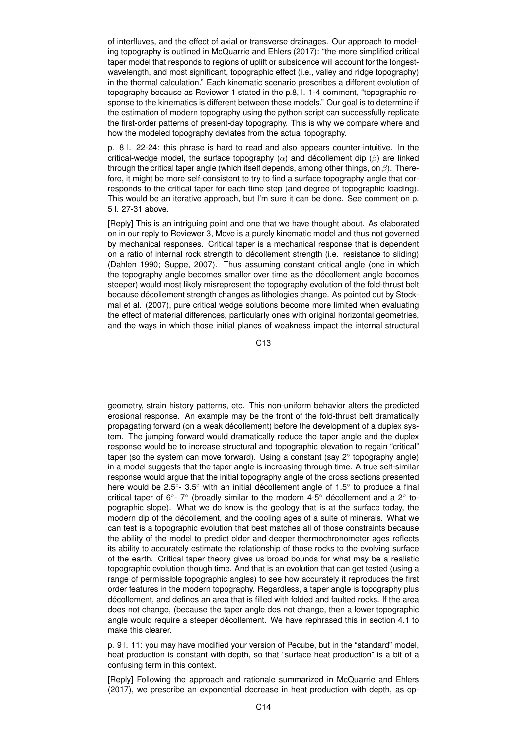of interfluves, and the effect of axial or transverse drainages. Our approach to modeling topography is outlined in McQuarrie and Ehlers (2017): "the more simplified critical taper model that responds to regions of uplift or subsidence will account for the longestwavelength, and most significant, topographic effect (i.e., valley and ridge topography) in the thermal calculation." Each kinematic scenario prescribes a different evolution of topography because as Reviewer 1 stated in the p.8, l. 1-4 comment, "topographic response to the kinematics is different between these models." Our goal is to determine if the estimation of modern topography using the python script can successfully replicate the first-order patterns of present-day topography. This is why we compare where and how the modeled topography deviates from the actual topography.

p. 8 l. 22-24: this phrase is hard to read and also appears counter-intuitive. In the critical-wedge model, the surface topography  $(\alpha)$  and décollement dip  $(\beta)$  are linked through the critical taper angle (which itself depends, among other things, on  $\beta$ ). Therefore, it might be more self-consistent to try to find a surface topography angle that corresponds to the critical taper for each time step (and degree of topographic loading). This would be an iterative approach, but I'm sure it can be done. See comment on p. 5 l. 27-31 above.

[Reply] This is an intriguing point and one that we have thought about. As elaborated on in our reply to Reviewer 3, Move is a purely kinematic model and thus not governed by mechanical responses. Critical taper is a mechanical response that is dependent on a ratio of internal rock strength to décollement strength (i.e. resistance to sliding) (Dahlen 1990; Suppe, 2007). Thus assuming constant critical angle (one in which the topography angle becomes smaller over time as the décollement angle becomes steeper) would most likely misrepresent the topography evolution of the fold-thrust belt because décollement strength changes as lithologies change. As pointed out by Stockmal et al. (2007), pure critical wedge solutions become more limited when evaluating the effect of material differences, particularly ones with original horizontal geometries, and the ways in which those initial planes of weakness impact the internal structural

C13

geometry, strain history patterns, etc. This non-uniform behavior alters the predicted erosional response. An example may be the front of the fold-thrust belt dramatically propagating forward (on a weak décollement) before the development of a duplex system. The jumping forward would dramatically reduce the taper angle and the duplex response would be to increase structural and topographic elevation to regain "critical" taper (so the system can move forward). Using a constant (say 2◦ topography angle) in a model suggests that the taper angle is increasing through time. A true self-similar response would argue that the initial topography angle of the cross sections presented here would be 2.5°- 3.5° with an initial décollement angle of 1.5° to produce a final critical taper of 6°- 7° (broadly similar to the modern 4-5° décollement and a 2° topographic slope). What we do know is the geology that is at the surface today, the modern dip of the décollement, and the cooling ages of a suite of minerals. What we can test is a topographic evolution that best matches all of those constraints because the ability of the model to predict older and deeper thermochronometer ages reflects its ability to accurately estimate the relationship of those rocks to the evolving surface of the earth. Critical taper theory gives us broad bounds for what may be a realistic topographic evolution though time. And that is an evolution that can get tested (using a range of permissible topographic angles) to see how accurately it reproduces the first order features in the modern topography. Regardless, a taper angle is topography plus décollement, and defines an area that is filled with folded and faulted rocks. If the area does not change, (because the taper angle des not change, then a lower topographic angle would require a steeper décollement. We have rephrased this in section 4.1 to make this clearer.

p. 9 l. 11: you may have modified your version of Pecube, but in the "standard" model, heat production is constant with depth, so that "surface heat production" is a bit of a confusing term in this context.

[Reply] Following the approach and rationale summarized in McQuarrie and Ehlers (2017), we prescribe an exponential decrease in heat production with depth, as op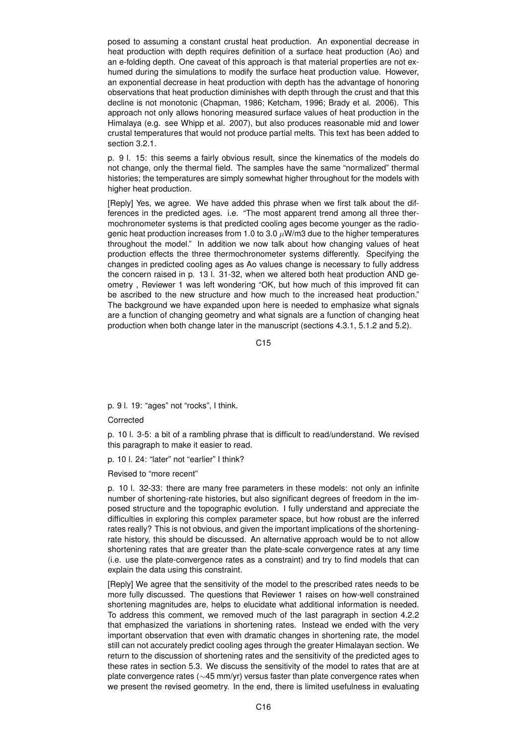posed to assuming a constant crustal heat production. An exponential decrease in heat production with depth requires definition of a surface heat production (Ao) and an e-folding depth. One caveat of this approach is that material properties are not exhumed during the simulations to modify the surface heat production value. However, an exponential decrease in heat production with depth has the advantage of honoring observations that heat production diminishes with depth through the crust and that this decline is not monotonic (Chapman, 1986; Ketcham, 1996; Brady et al. 2006). This approach not only allows honoring measured surface values of heat production in the Himalaya (e.g. see Whipp et al. 2007), but also produces reasonable mid and lower crustal temperatures that would not produce partial melts. This text has been added to section 3.2.1.

p. 9 l. 15: this seems a fairly obvious result, since the kinematics of the models do not change, only the thermal field. The samples have the same "normalized" thermal histories; the temperatures are simply somewhat higher throughout for the models with higher heat production.

[Reply] Yes, we agree. We have added this phrase when we first talk about the differences in the predicted ages. i.e. "The most apparent trend among all three thermochronometer systems is that predicted cooling ages become younger as the radiogenic heat production increases from 1.0 to 3.0  $\mu$ W/m3 due to the higher temperatures throughout the model." In addition we now talk about how changing values of heat production effects the three thermochronometer systems differently. Specifying the changes in predicted cooling ages as Ao values change is necessary to fully address the concern raised in p. 13 l. 31-32, when we altered both heat production AND geometry , Reviewer 1 was left wondering "OK, but how much of this improved fit can be ascribed to the new structure and how much to the increased heat production." The background we have expanded upon here is needed to emphasize what signals are a function of changing geometry and what signals are a function of changing heat production when both change later in the manuscript (sections 4.3.1, 5.1.2 and 5.2).

C<sub>15</sub>

p. 9 l. 19: "ages" not "rocks", I think.

Corrected

p. 10 l. 3-5: a bit of a rambling phrase that is difficult to read/understand. We revised this paragraph to make it easier to read.

p. 10 l. 24: "later" not "earlier" I think?

Revised to "more recent"

p. 10 l. 32-33: there are many free parameters in these models: not only an infinite number of shortening-rate histories, but also significant degrees of freedom in the imposed structure and the topographic evolution. I fully understand and appreciate the difficulties in exploring this complex parameter space, but how robust are the inferred rates really? This is not obvious, and given the important implications of the shorteningrate history, this should be discussed. An alternative approach would be to not allow shortening rates that are greater than the plate-scale convergence rates at any time (i.e. use the plate-convergence rates as a constraint) and try to find models that can explain the data using this constraint.

[Reply] We agree that the sensitivity of the model to the prescribed rates needs to be more fully discussed. The questions that Reviewer 1 raises on how-well constrained shortening magnitudes are, helps to elucidate what additional information is needed. To address this comment, we removed much of the last paragraph in section 4.2.2 that emphasized the variations in shortening rates. Instead we ended with the very important observation that even with dramatic changes in shortening rate, the model still can not accurately predict cooling ages through the greater Himalayan section. We return to the discussion of shortening rates and the sensitivity of the predicted ages to these rates in section 5.3. We discuss the sensitivity of the model to rates that are at plate convergence rates (∼45 mm/yr) versus faster than plate convergence rates when we present the revised geometry. In the end, there is limited usefulness in evaluating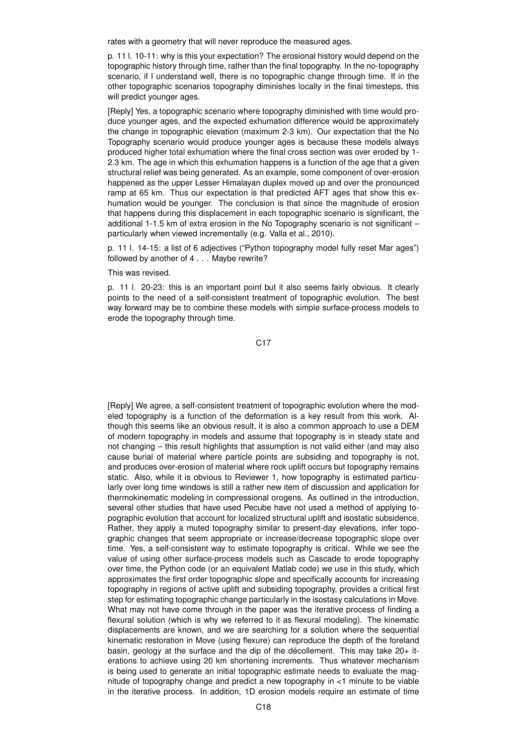rates with a geometry that will never reproduce the measured ages.

p. 11 l. 10-11: why is this your expectation? The erosional history would depend on the topographic history through time, rather than the final topography. In the no-topography scenario, if I understand well, there is no topographic change through time. If in the other topographic scenarios topography diminishes locally in the final timesteps, this will predict younger ages.

[Reply] Yes, a topographic scenario where topography diminished with time would produce younger ages, and the expected exhumation difference would be approximately the change in topographic elevation (maximum 2-3 km). Our expectation that the No Topography scenario would produce younger ages is because these models always produced higher total exhumation where the final cross section was over eroded by 1- 2.3 km. The age in which this exhumation happens is a function of the age that a given structural relief was being generated. As an example, some component of over-erosion happened as the upper Lesser Himalayan duplex moved up and over the pronounced ramp at 65 km. Thus our expectation is that predicted AFT ages that show this exhumation would be younger. The conclusion is that since the magnitude of erosion that happens during this displacement in each topographic scenario is significant, the additional 1-1.5 km of extra erosion in the No Topography scenario is not significant – particularly when viewed incrementally (e.g. Valla et al., 2010).

p. 11 l. 14-15: a list of 6 adjectives ("Python topography model fully reset Mar ages") followed by another of 4 . . . Maybe rewrite?

## This was revised.

p. 11 l. 20-23: this is an important point but it also seems fairly obvious. It clearly points to the need of a self-consistent treatment of topographic evolution. The best way forward may be to combine these models with simple surface-process models to erode the topography through time.

### C17

[Reply] We agree, a self-consistent treatment of topographic evolution where the modeled topography is a function of the deformation is a key result from this work. Although this seems like an obvious result, it is also a common approach to use a DEM of modern topography in models and assume that topography is in steady state and not changing – this result highlights that assumption is not valid either (and may also cause burial of material where particle points are subsiding and topography is not, and produces over-erosion of material where rock uplift occurs but topography remains static. Also, while it is obvious to Reviewer 1, how topography is estimated particularly over long time windows is still a rather new item of discussion and application for thermokinematic modeling in compressional orogens. As outlined in the introduction, several other studies that have used Pecube have not used a method of applying topographic evolution that account for localized structural uplift and isostatic subsidence. Rather, they apply a muted topography similar to present-day elevations, infer topographic changes that seem appropriate or increase/decrease topographic slope over time. Yes, a self-consistent way to estimate topography is critical. While we see the value of using other surface-process models such as Cascade to erode topography over time, the Python code (or an equivalent Matlab code) we use in this study, which approximates the first order topographic slope and specifically accounts for increasing topography in regions of active uplift and subsiding topography, provides a critical first step for estimating topographic change particularly in the isostasy calculations in Move. What may not have come through in the paper was the iterative process of finding a flexural solution (which is why we referred to it as flexural modeling). The kinematic displacements are known, and we are searching for a solution where the sequential kinematic restoration in Move (using flexure) can reproduce the depth of the foreland basin, geology at the surface and the dip of the décollement. This may take  $20+$  iterations to achieve using 20 km shortening increments. Thus whatever mechanism is being used to generate an initial topographic estimate needs to evaluate the magnitude of topography change and predict a new topography in <1 minute to be viable in the iterative process. In addition, 1D erosion models require an estimate of time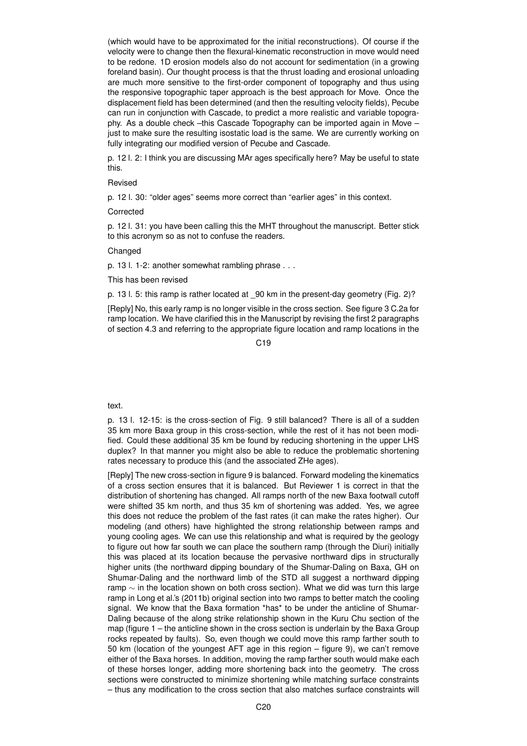(which would have to be approximated for the initial reconstructions). Of course if the velocity were to change then the flexural-kinematic reconstruction in move would need to be redone. 1D erosion models also do not account for sedimentation (in a growing foreland basin). Our thought process is that the thrust loading and erosional unloading are much more sensitive to the first-order component of topography and thus using the responsive topographic taper approach is the best approach for Move. Once the displacement field has been determined (and then the resulting velocity fields), Pecube can run in conjunction with Cascade, to predict a more realistic and variable topography. As a double check –this Cascade Topography can be imported again in Move – just to make sure the resulting isostatic load is the same. We are currently working on fully integrating our modified version of Pecube and Cascade.

p. 12 l. 2: I think you are discussing MAr ages specifically here? May be useful to state this.

## Revised

p. 12 l. 30: "older ages" seems more correct than "earlier ages" in this context.

### Corrected

p. 12 l. 31: you have been calling this the MHT throughout the manuscript. Better stick to this acronym so as not to confuse the readers.

## **Changed**

p. 13 l. 1-2: another somewhat rambling phrase . . .

This has been revised

p. 13 l. 5: this ramp is rather located at 90 km in the present-day geometry (Fig. 2)?

[Reply] No, this early ramp is no longer visible in the cross section. See figure 3 C.2a for ramp location. We have clarified this in the Manuscript by revising the first 2 paragraphs of section 4.3 and referring to the appropriate figure location and ramp locations in the

 $C<sub>19</sub>$ 

#### text.

p. 13 l. 12-15: is the cross-section of Fig. 9 still balanced? There is all of a sudden 35 km more Baxa group in this cross-section, while the rest of it has not been modified. Could these additional 35 km be found by reducing shortening in the upper LHS duplex? In that manner you might also be able to reduce the problematic shortening rates necessary to produce this (and the associated ZHe ages).

[Reply] The new cross-section in figure 9 is balanced. Forward modeling the kinematics of a cross section ensures that it is balanced. But Reviewer 1 is correct in that the distribution of shortening has changed. All ramps north of the new Baxa footwall cutoff were shifted 35 km north, and thus 35 km of shortening was added. Yes, we agree this does not reduce the problem of the fast rates (it can make the rates higher). Our modeling (and others) have highlighted the strong relationship between ramps and young cooling ages. We can use this relationship and what is required by the geology to figure out how far south we can place the southern ramp (through the Diuri) initially this was placed at its location because the pervasive northward dips in structurally higher units (the northward dipping boundary of the Shumar-Daling on Baxa, GH on Shumar-Daling and the northward limb of the STD all suggest a northward dipping ramp ∼ in the location shown on both cross section). What we did was turn this large ramp in Long et al.'s (2011b) original section into two ramps to better match the cooling signal. We know that the Baxa formation \*has\* to be under the anticline of Shumar-Daling because of the along strike relationship shown in the Kuru Chu section of the map (figure 1 – the anticline shown in the cross section is underlain by the Baxa Group rocks repeated by faults). So, even though we could move this ramp farther south to 50 km (location of the youngest AFT age in this region – figure 9), we can't remove either of the Baxa horses. In addition, moving the ramp farther south would make each of these horses longer, adding more shortening back into the geometry. The cross sections were constructed to minimize shortening while matching surface constraints – thus any modification to the cross section that also matches surface constraints will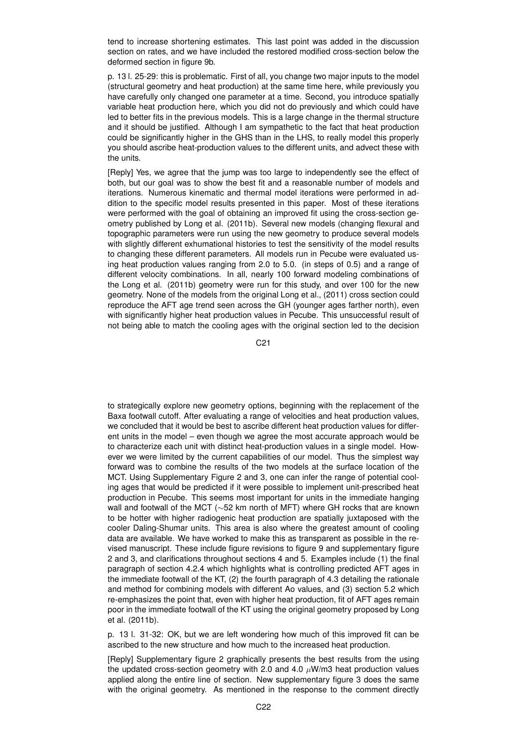tend to increase shortening estimates. This last point was added in the discussion section on rates, and we have included the restored modified cross-section below the deformed section in figure 9b.

p. 13 l. 25-29: this is problematic. First of all, you change two major inputs to the model (structural geometry and heat production) at the same time here, while previously you have carefully only changed one parameter at a time. Second, you introduce spatially variable heat production here, which you did not do previously and which could have led to better fits in the previous models. This is a large change in the thermal structure and it should be justified. Although I am sympathetic to the fact that heat production could be significantly higher in the GHS than in the LHS, to really model this properly you should ascribe heat-production values to the different units, and advect these with the units.

[Reply] Yes, we agree that the jump was too large to independently see the effect of both, but our goal was to show the best fit and a reasonable number of models and iterations. Numerous kinematic and thermal model iterations were performed in addition to the specific model results presented in this paper. Most of these iterations were performed with the goal of obtaining an improved fit using the cross-section geometry published by Long et al. (2011b). Several new models (changing flexural and topographic parameters were run using the new geometry to produce several models with slightly different exhumational histories to test the sensitivity of the model results to changing these different parameters. All models run in Pecube were evaluated using heat production values ranging from 2.0 to 5.0. (in steps of 0.5) and a range of different velocity combinations. In all, nearly 100 forward modeling combinations of the Long et al. (2011b) geometry were run for this study, and over 100 for the new geometry. None of the models from the original Long et al., (2011) cross section could reproduce the AFT age trend seen across the GH (younger ages farther north), even with significantly higher heat production values in Pecube. This unsuccessful result of not being able to match the cooling ages with the original section led to the decision

C21

to strategically explore new geometry options, beginning with the replacement of the Baxa footwall cutoff. After evaluating a range of velocities and heat production values, we concluded that it would be best to ascribe different heat production values for different units in the model – even though we agree the most accurate approach would be to characterize each unit with distinct heat-production values in a single model. However we were limited by the current capabilities of our model. Thus the simplest way forward was to combine the results of the two models at the surface location of the MCT. Using Supplementary Figure 2 and 3, one can infer the range of potential cooling ages that would be predicted if it were possible to implement unit-prescribed heat production in Pecube. This seems most important for units in the immediate hanging wall and footwall of the MCT (~52 km north of MFT) where GH rocks that are known to be hotter with higher radiogenic heat production are spatially juxtaposed with the cooler Daling-Shumar units. This area is also where the greatest amount of cooling data are available. We have worked to make this as transparent as possible in the revised manuscript. These include figure revisions to figure 9 and supplementary figure 2 and 3, and clarifications throughout sections 4 and 5. Examples include (1) the final paragraph of section 4.2.4 which highlights what is controlling predicted AFT ages in the immediate footwall of the KT, (2) the fourth paragraph of 4.3 detailing the rationale and method for combining models with different Ao values, and (3) section 5.2 which re-emphasizes the point that, even with higher heat production, fit of AFT ages remain poor in the immediate footwall of the KT using the original geometry proposed by Long et al. (2011b).

p. 13 l. 31-32: OK, but we are left wondering how much of this improved fit can be ascribed to the new structure and how much to the increased heat production.

[Reply] Supplementary figure 2 graphically presents the best results from the using the updated cross-section geometry with 2.0 and 4.0  $\mu$ W/m3 heat production values applied along the entire line of section. New supplementary figure 3 does the same with the original geometry. As mentioned in the response to the comment directly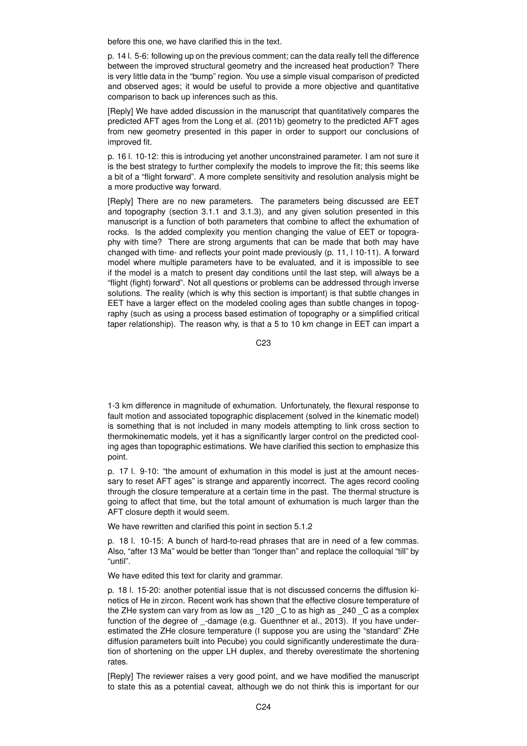before this one, we have clarified this in the text.

p. 14 l. 5-6: following up on the previous comment; can the data really tell the difference between the improved structural geometry and the increased heat production? There is very little data in the "bump" region. You use a simple visual comparison of predicted and observed ages; it would be useful to provide a more objective and quantitative comparison to back up inferences such as this.

[Reply] We have added discussion in the manuscript that quantitatively compares the predicted AFT ages from the Long et al. (2011b) geometry to the predicted AFT ages from new geometry presented in this paper in order to support our conclusions of improved fit.

p. 16 l. 10-12: this is introducing yet another unconstrained parameter. I am not sure it is the best strategy to further complexify the models to improve the fit; this seems like a bit of a "flight forward". A more complete sensitivity and resolution analysis might be a more productive way forward.

[Reply] There are no new parameters. The parameters being discussed are EET and topography (section 3.1.1 and 3.1.3), and any given solution presented in this manuscript is a function of both parameters that combine to affect the exhumation of rocks. Is the added complexity you mention changing the value of EET or topography with time? There are strong arguments that can be made that both may have changed with time- and reflects your point made previously (p. 11, l 10-11). A forward model where multiple parameters have to be evaluated, and it is impossible to see if the model is a match to present day conditions until the last step, will always be a "flight (fight) forward". Not all questions or problems can be addressed through inverse solutions. The reality (which is why this section is important) is that subtle changes in EET have a larger effect on the modeled cooling ages than subtle changes in topography (such as using a process based estimation of topography or a simplified critical taper relationship). The reason why, is that a 5 to 10 km change in EET can impart a

C23

1-3 km difference in magnitude of exhumation. Unfortunately, the flexural response to fault motion and associated topographic displacement (solved in the kinematic model) is something that is not included in many models attempting to link cross section to thermokinematic models, yet it has a significantly larger control on the predicted cooling ages than topographic estimations. We have clarified this section to emphasize this point.

p. 17 l. 9-10: "the amount of exhumation in this model is just at the amount necessary to reset AFT ages" is strange and apparently incorrect. The ages record cooling through the closure temperature at a certain time in the past. The thermal structure is going to affect that time, but the total amount of exhumation is much larger than the AFT closure depth it would seem.

We have rewritten and clarified this point in section 5.1.2

p. 18 l. 10-15: A bunch of hard-to-read phrases that are in need of a few commas. Also, "after 13 Ma" would be better than "longer than" and replace the colloquial "till" by "until".

We have edited this text for clarity and grammar.

p. 18 l. 15-20: another potential issue that is not discussed concerns the diffusion kinetics of He in zircon. Recent work has shown that the effective closure temperature of the ZHe system can vary from as low as \_120 \_C to as high as \_240 \_C as a complex function of the degree of -damage (e.g. Guenthner et al., 2013). If you have underestimated the ZHe closure temperature (I suppose you are using the "standard" ZHe diffusion parameters built into Pecube) you could significantly underestimate the duration of shortening on the upper LH duplex, and thereby overestimate the shortening rates.

[Reply] The reviewer raises a very good point, and we have modified the manuscript to state this as a potential caveat, although we do not think this is important for our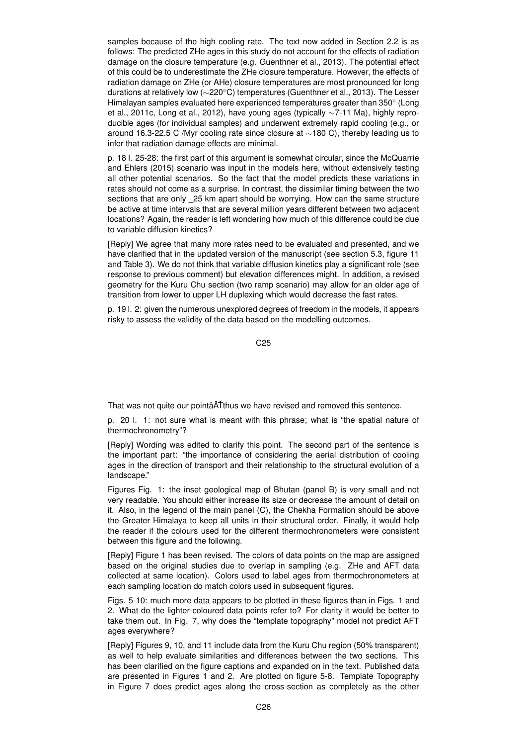samples because of the high cooling rate. The text now added in Section 2.2 is as follows: The predicted ZHe ages in this study do not account for the effects of radiation damage on the closure temperature (e.g. Guenthner et al., 2013). The potential effect of this could be to underestimate the ZHe closure temperature. However, the effects of radiation damage on ZHe (or AHe) closure temperatures are most pronounced for long durations at relatively low (∼220◦C) temperatures (Guenthner et al., 2013). The Lesser Himalayan samples evaluated here experienced temperatures greater than 350◦ (Long et al., 2011c, Long et al., 2012), have young ages (typically ∼7-11 Ma), highly reproducible ages (for individual samples) and underwent extremely rapid cooling (e.g., or around 16.3-22.5 C /Myr cooling rate since closure at ∼180 C), thereby leading us to infer that radiation damage effects are minimal.

p. 18 l. 25-28: the first part of this argument is somewhat circular, since the McQuarrie and Ehlers (2015) scenario was input in the models here, without extensively testing all other potential scenarios. So the fact that the model predicts these variations in rates should not come as a surprise. In contrast, the dissimilar timing between the two sections that are only 25 km apart should be worrying. How can the same structure be active at time intervals that are several million years different between two adjacent locations? Again, the reader is left wondering how much of this difference could be due to variable diffusion kinetics?

[Reply] We agree that many more rates need to be evaluated and presented, and we have clarified that in the updated version of the manuscript (see section 5.3, figure 11 and Table 3). We do not think that variable diffusion kinetics play a significant role (see response to previous comment) but elevation differences might. In addition, a revised geometry for the Kuru Chu section (two ramp scenario) may allow for an older age of transition from lower to upper LH duplexing which would decrease the fast rates.

p. 19 l. 2: given the numerous unexplored degrees of freedom in the models, it appears risky to assess the validity of the data based on the modelling outcomes.

C25

That was not quite our pointâ $\tilde{A}$ thus we have revised and removed this sentence.

p. 20 l. 1: not sure what is meant with this phrase; what is "the spatial nature of thermochronometry"?

[Reply] Wording was edited to clarify this point. The second part of the sentence is the important part: "the importance of considering the aerial distribution of cooling ages in the direction of transport and their relationship to the structural evolution of a landscape."

Figures Fig. 1: the inset geological map of Bhutan (panel B) is very small and not very readable. You should either increase its size or decrease the amount of detail on it. Also, in the legend of the main panel (C), the Chekha Formation should be above the Greater Himalaya to keep all units in their structural order. Finally, it would help the reader if the colours used for the different thermochronometers were consistent between this figure and the following.

[Reply] Figure 1 has been revised. The colors of data points on the map are assigned based on the original studies due to overlap in sampling (e.g. ZHe and AFT data collected at same location). Colors used to label ages from thermochronometers at each sampling location do match colors used in subsequent figures.

Figs. 5-10: much more data appears to be plotted in these figures than in Figs. 1 and 2. What do the lighter-coloured data points refer to? For clarity it would be better to take them out. In Fig. 7, why does the "template topography" model not predict AFT ages everywhere?

[Reply] Figures 9, 10, and 11 include data from the Kuru Chu region (50% transparent) as well to help evaluate similarities and differences between the two sections. This has been clarified on the figure captions and expanded on in the text. Published data are presented in Figures 1 and 2. Are plotted on figure 5-8. Template Topography in Figure 7 does predict ages along the cross-section as completely as the other